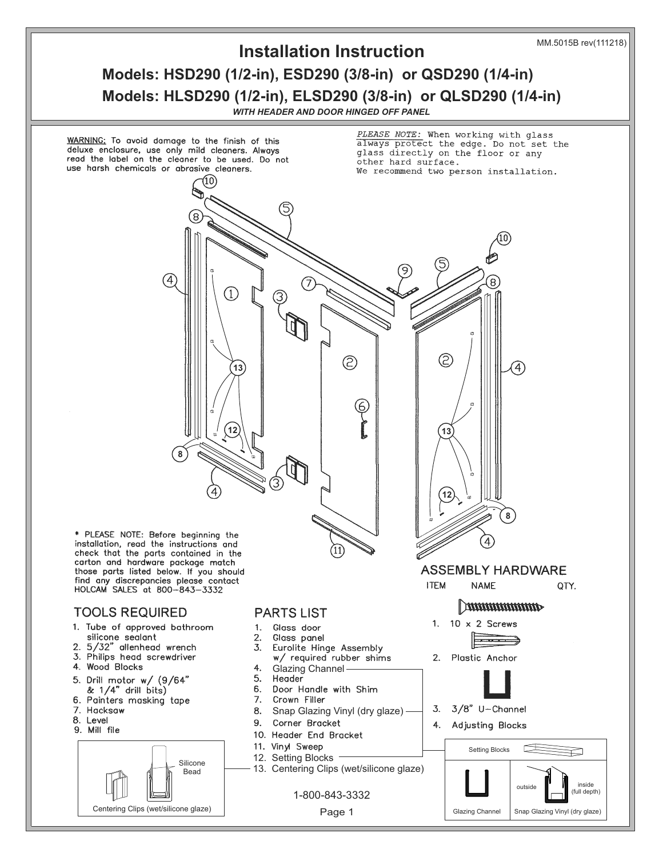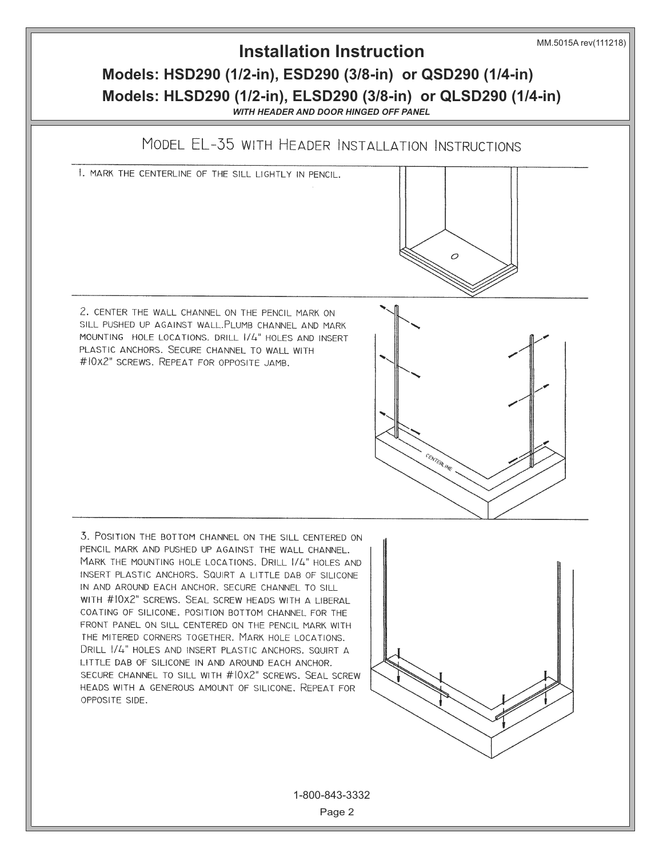

Page 2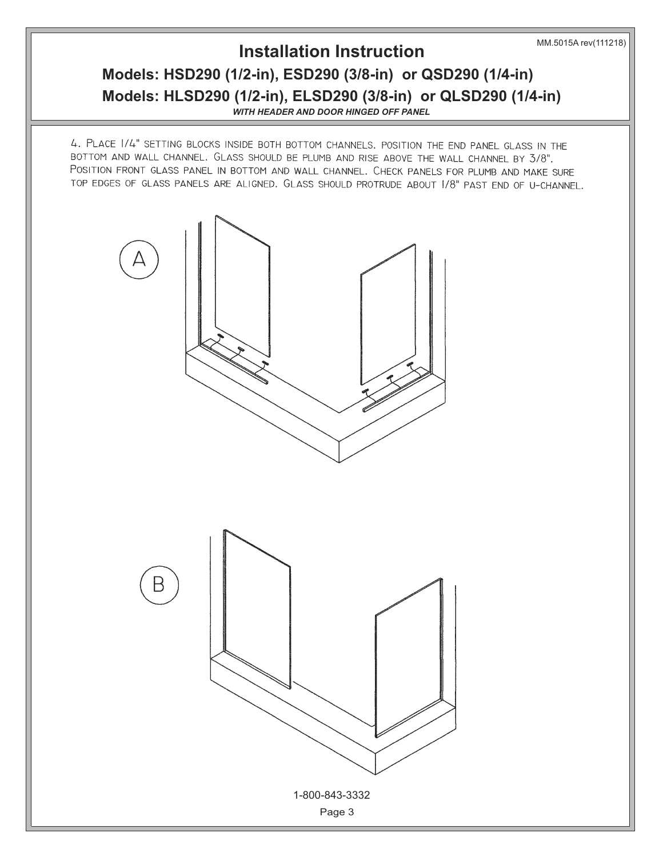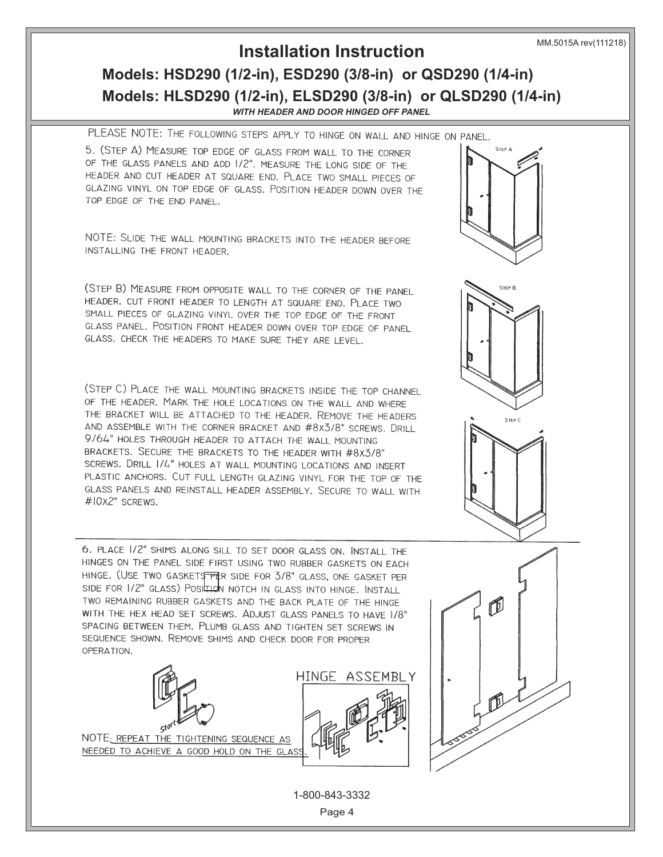MM.5015A rev(111218)

## **Models: HSD290 (1/2-in), ESD290 (3/8-in) or QSD290 (1/4-in) Models: HLSD290 (1/2-in), ELSD290 (3/8-in) or QLSD290 (1/4-in) Installation Instruction** *WITH HEADER AND DOOR HINGED OFF PANEL*

PLEASE NOTE: THE FOLLOWING STEPS APPLY TO HINGE ON WALL AND HINGE ON PANEL.

5. (STEP A) MEASURE TOP EDGE OF GLASS FROM WALL TO THE CORNER OF THE GLASS PANELS AND ADD 1/2". MEASURE THE LONG SIDE OF THE HEADER AND CUT HEADER AT SQUARE END. PLACE TWO SMALL PIECES OF GLAZING VINYL ON TOP EDGE OF GLASS. POSITION HEADER DOWN OVER THE TOP EDGE OF THE END PANEL.

NOTE: SLIDE THE WALL MOUNTING BRACKETS INTO THE HEADER BEFORE INSTALLING THE FRONT HEADER.

(STEP B) MEASURE FROM OPPOSITE WALL TO THE CORNER OF THE PANEL HEADER. CUT FRONT HEADER TO LENGTH AT SQUARE END. PLACE TWO SMALL PIECES OF GLAZING VINYL OVER THE TOP EDGE OF THE FRONT GLASS PANEL. POSITION FRONT HEADER DOWN OVER TOP EDGE OF PANEL GLASS. CHECK THE HEADERS TO MAKE SURE THEY ARE LEVEL.

(STEP C) PLACE THE WALL MOUNTING BRACKETS INSIDE THE TOP CHANNEL OF THE HEADER. MARK THE HOLE LOCATIONS ON THE WALL AND WHERE THE BRACKET WILL BE ATTACHED TO THE HEADER. REMOVE THE HEADERS AND ASSEMBLE WITH THE CORNER BRACKET AND #8X3/8" SCREWS. DRILL 9/64" HOLES THROUGH HEADER TO ATTACH THE WALL MOUNTING BRACKETS. SECURE THE BRACKETS TO THE HEADER WITH #8x3/8" SCREWS. DRILL 1/4" HOLES AT WALL MOUNTING LOCATIONS AND INSERT PLASTIC ANCHORS. CUT FULL LENGTH GLAZING VINYL FOR THE TOP OF THE GLASS PANELS AND REINSTALL HEADER ASSEMBLY. SECURE TO WALL WITH #10x2" SCREWS.

6. PLACE 1/2" SHIMS ALONG SILL TO SET DOOR GLASS ON. INSTALL THE HINGES ON THE PANEL SIDE FIRST USING TWO RUBBER GASKETS ON EACH **HLSD180 (1/2-in), ELSD180 (3/8-in) or QLSD180 (1/4-in) Installation Instruction** *WITH HEADER AND NOTCHED PANEL* Page 1 REV.9/2017 P/N 5013 1-800-843-3332 Website-www.holcam.com & E-mail-Sales@Holcam.com TWO REMAINING RUBBER GASKETS AND THE BACK PLATE OF THE HINGE WITH THE HEX HEAD SET SCREWS. ADJUST GLASS PANELS TO HAVE 1/8" SPACING BETWEEN THEM. PLUMB GLASS AND TIGHTEN SET SCREWS IN SEQUENCE SHOWN. REMOVE SHIMS AND CHECK DOOR FOR PROPER OPERATION.

![](_page_3_Picture_8.jpeg)

![](_page_3_Picture_9.jpeg)

![](_page_3_Picture_10.jpeg)

![](_page_3_Figure_11.jpeg)

![](_page_3_Figure_12.jpeg)

![](_page_3_Picture_13.jpeg)

![](_page_3_Picture_14.jpeg)

1-800-843-3332